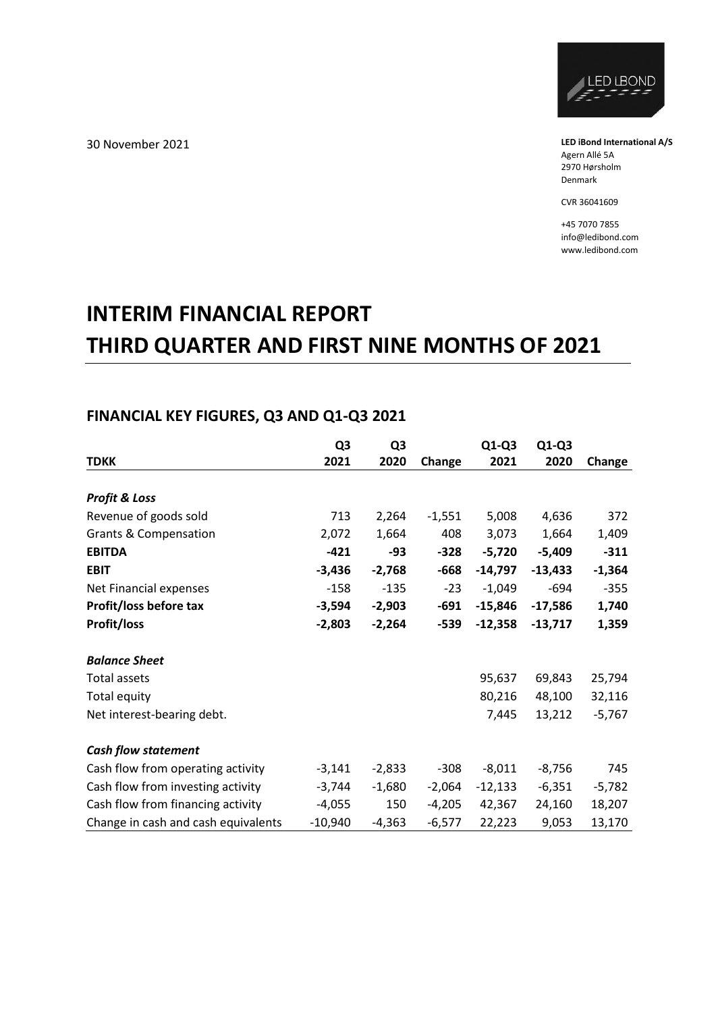

**LED iBond International A/S** Agern Allé 5A 2970 Hørsholm Denmark

CVR 36041609

+45 7070 7855 info@ledibond.com www.ledibond.com

# **INTERIM FINANCIAL REPORT THIRD QUARTER AND FIRST NINE MONTHS OF 2021**

## **FINANCIAL KEY FIGURES, Q3 AND Q1-Q3 2021**

|                                     | Q <sub>3</sub> | Q <sub>3</sub> |          | $Q1-Q3$   | $Q1-Q3$   |          |
|-------------------------------------|----------------|----------------|----------|-----------|-----------|----------|
| <b>TDKK</b>                         | 2021           | 2020           | Change   | 2021      | 2020      | Change   |
|                                     |                |                |          |           |           |          |
| <b>Profit &amp; Loss</b>            |                |                |          |           |           |          |
| Revenue of goods sold               | 713            | 2,264          | $-1,551$ | 5,008     | 4,636     | 372      |
| <b>Grants &amp; Compensation</b>    | 2,072          | 1,664          | 408      | 3,073     | 1,664     | 1,409    |
| <b>EBITDA</b>                       | $-421$         | -93            | $-328$   | $-5,720$  | $-5,409$  | $-311$   |
| <b>EBIT</b>                         | $-3,436$       | $-2,768$       | $-668$   | $-14,797$ | $-13,433$ | $-1,364$ |
| Net Financial expenses              | $-158$         | $-135$         | $-23$    | $-1,049$  | $-694$    | $-355$   |
| Profit/loss before tax              | $-3,594$       | $-2,903$       | $-691$   | $-15,846$ | $-17,586$ | 1,740    |
| Profit/loss                         | $-2,803$       | $-2,264$       | $-539$   | $-12,358$ | $-13,717$ | 1,359    |
|                                     |                |                |          |           |           |          |
| <b>Balance Sheet</b>                |                |                |          |           |           |          |
| Total assets                        |                |                |          | 95,637    | 69,843    | 25,794   |
| Total equity                        |                |                |          | 80,216    | 48,100    | 32,116   |
| Net interest-bearing debt.          |                |                |          | 7,445     | 13,212    | $-5,767$ |
|                                     |                |                |          |           |           |          |
| <b>Cash flow statement</b>          |                |                |          |           |           |          |
| Cash flow from operating activity   | $-3,141$       | $-2,833$       | $-308$   | $-8,011$  | $-8,756$  | 745      |
| Cash flow from investing activity   | $-3,744$       | $-1,680$       | $-2,064$ | $-12,133$ | $-6,351$  | $-5,782$ |
| Cash flow from financing activity   | $-4,055$       | 150            | $-4,205$ | 42,367    | 24,160    | 18,207   |
| Change in cash and cash equivalents | $-10,940$      | $-4,363$       | $-6,577$ | 22,223    | 9,053     | 13,170   |

30 November 2021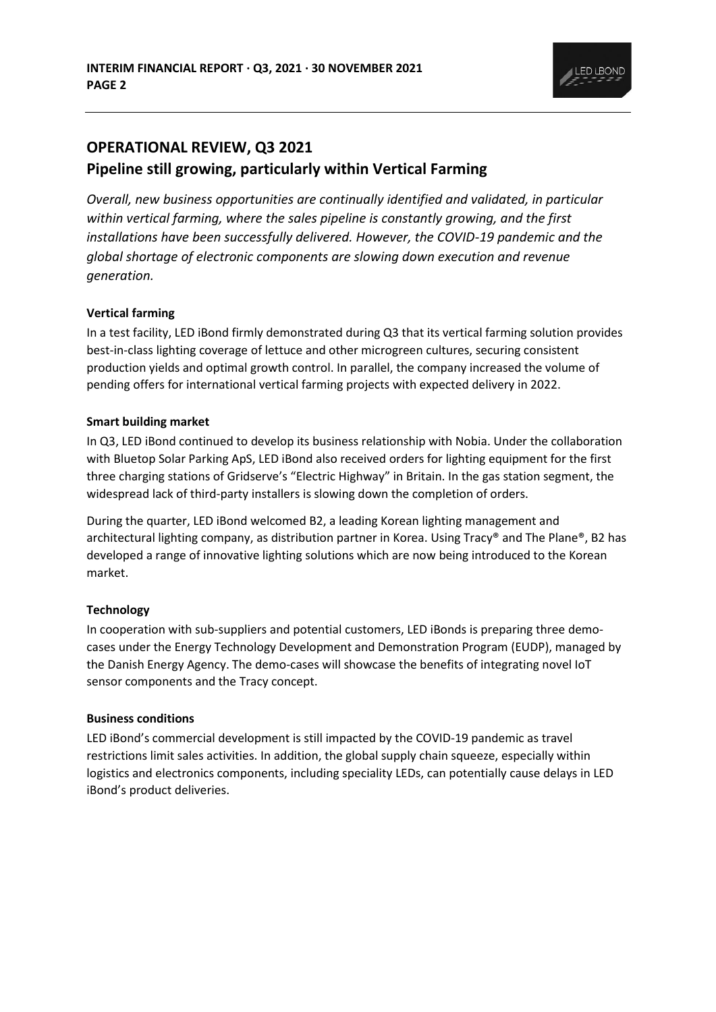

# **OPERATIONAL REVIEW, Q3 2021 Pipeline still growing, particularly within Vertical Farming**

*Overall, new business opportunities are continually identified and validated, in particular within vertical farming, where the sales pipeline is constantly growing, and the first installations have been successfully delivered. However, the COVID-19 pandemic and the global shortage of electronic components are slowing down execution and revenue generation.* 

### **Vertical farming**

In a test facility, LED iBond firmly demonstrated during Q3 that its vertical farming solution provides best-in-class lighting coverage of lettuce and other microgreen cultures, securing consistent production yields and optimal growth control. In parallel, the company increased the volume of pending offers for international vertical farming projects with expected delivery in 2022.

### **Smart building market**

In Q3, LED iBond continued to develop its business relationship with Nobia. Under the collaboration with Bluetop Solar Parking ApS, LED iBond also received orders for lighting equipment for the first three charging stations of Gridserve's "Electric Highway" in Britain. In the gas station segment, the widespread lack of third-party installers is slowing down the completion of orders.

During the quarter, LED iBond welcomed B2, a leading Korean lighting management and architectural lighting company, as distribution partner in Korea. Using Tracy® and The Plane®, B2 has developed a range of innovative lighting solutions which are now being introduced to the Korean market.

### **Technology**

In cooperation with sub-suppliers and potential customers, LED iBonds is preparing three democases under the Energy Technology Development and Demonstration Program (EUDP), managed by the Danish Energy Agency. The demo-cases will showcase the benefits of integrating novel IoT sensor components and the Tracy concept.

### **Business conditions**

LED iBond's commercial development is still impacted by the COVID-19 pandemic as travel restrictions limit sales activities. In addition, the global supply chain squeeze, especially within logistics and electronics components, including speciality LEDs, can potentially cause delays in LED iBond's product deliveries.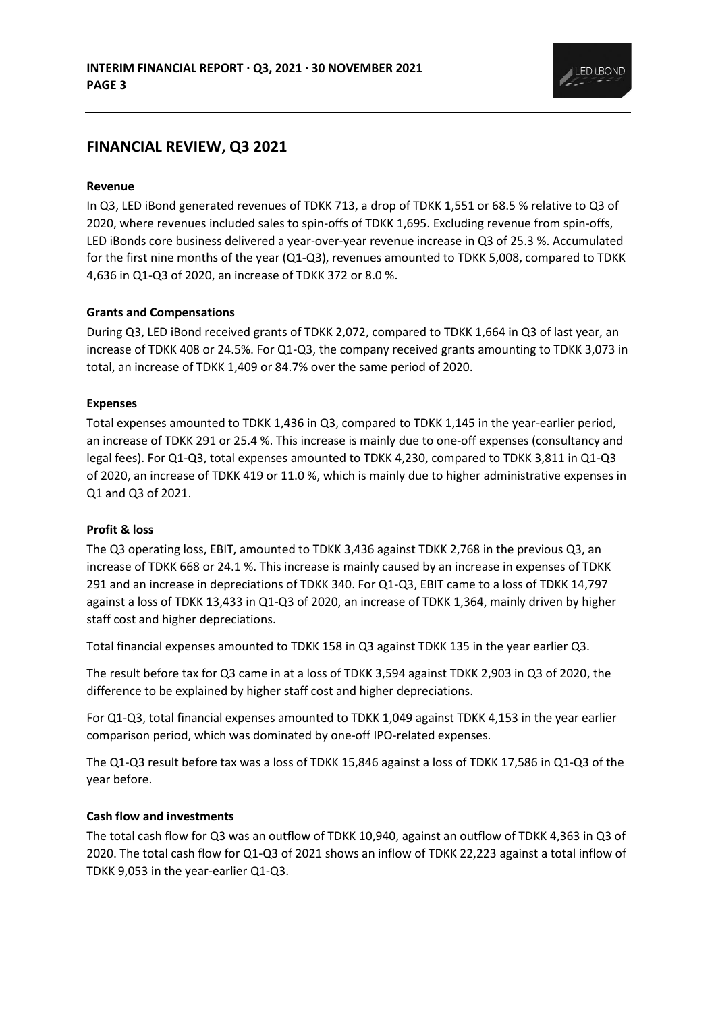

## **FINANCIAL REVIEW, Q3 2021**

### **Revenue**

In Q3, LED iBond generated revenues of TDKK 713, a drop of TDKK 1,551 or 68.5 % relative to Q3 of 2020, where revenues included sales to spin-offs of TDKK 1,695. Excluding revenue from spin-offs, LED iBonds core business delivered a year-over-year revenue increase in Q3 of 25.3 %. Accumulated for the first nine months of the year (Q1-Q3), revenues amounted to TDKK 5,008, compared to TDKK 4,636 in Q1-Q3 of 2020, an increase of TDKK 372 or 8.0 %.

### **Grants and Compensations**

During Q3, LED iBond received grants of TDKK 2,072, compared to TDKK 1,664 in Q3 of last year, an increase of TDKK 408 or 24.5%. For Q1-Q3, the company received grants amounting to TDKK 3,073 in total, an increase of TDKK 1,409 or 84.7% over the same period of 2020.

#### **Expenses**

Total expenses amounted to TDKK 1,436 in Q3, compared to TDKK 1,145 in the year-earlier period, an increase of TDKK 291 or 25.4 %. This increase is mainly due to one-off expenses (consultancy and legal fees). For Q1-Q3, total expenses amounted to TDKK 4,230, compared to TDKK 3,811 in Q1-Q3 of 2020, an increase of TDKK 419 or 11.0 %, which is mainly due to higher administrative expenses in Q1 and Q3 of 2021.

### **Profit & loss**

The Q3 operating loss, EBIT, amounted to TDKK 3,436 against TDKK 2,768 in the previous Q3, an increase of TDKK 668 or 24.1 %. This increase is mainly caused by an increase in expenses of TDKK 291 and an increase in depreciations of TDKK 340. For Q1-Q3, EBIT came to a loss of TDKK 14,797 against a loss of TDKK 13,433 in Q1-Q3 of 2020, an increase of TDKK 1,364, mainly driven by higher staff cost and higher depreciations.

Total financial expenses amounted to TDKK 158 in Q3 against TDKK 135 in the year earlier Q3.

The result before tax for Q3 came in at a loss of TDKK 3,594 against TDKK 2,903 in Q3 of 2020, the difference to be explained by higher staff cost and higher depreciations.

For Q1-Q3, total financial expenses amounted to TDKK 1,049 against TDKK 4,153 in the year earlier comparison period, which was dominated by one-off IPO-related expenses.

The Q1-Q3 result before tax was a loss of TDKK 15,846 against a loss of TDKK 17,586 in Q1-Q3 of the year before.

### **Cash flow and investments**

The total cash flow for Q3 was an outflow of TDKK 10,940, against an outflow of TDKK 4,363 in Q3 of 2020. The total cash flow for Q1-Q3 of 2021 shows an inflow of TDKK 22,223 against a total inflow of TDKK 9,053 in the year-earlier Q1-Q3.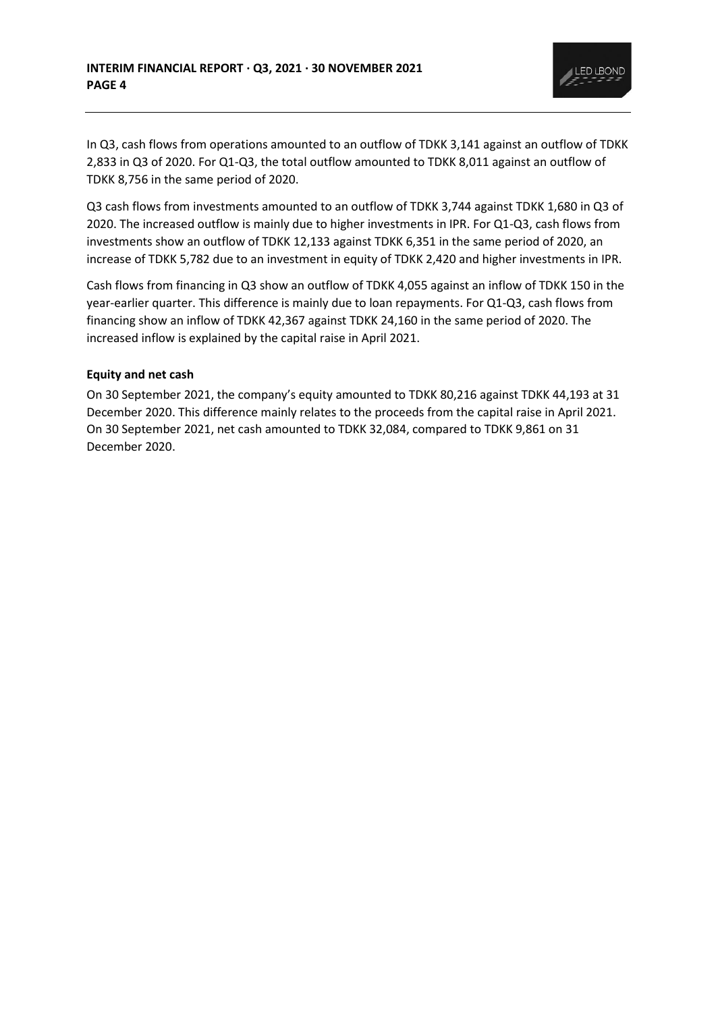

In Q3, cash flows from operations amounted to an outflow of TDKK 3,141 against an outflow of TDKK 2,833 in Q3 of 2020. For Q1-Q3, the total outflow amounted to TDKK 8,011 against an outflow of TDKK 8,756 in the same period of 2020.

Q3 cash flows from investments amounted to an outflow of TDKK 3,744 against TDKK 1,680 in Q3 of 2020. The increased outflow is mainly due to higher investments in IPR. For Q1-Q3, cash flows from investments show an outflow of TDKK 12,133 against TDKK 6,351 in the same period of 2020, an increase of TDKK 5,782 due to an investment in equity of TDKK 2,420 and higher investments in IPR.

Cash flows from financing in Q3 show an outflow of TDKK 4,055 against an inflow of TDKK 150 in the year-earlier quarter. This difference is mainly due to loan repayments. For Q1-Q3, cash flows from financing show an inflow of TDKK 42,367 against TDKK 24,160 in the same period of 2020. The increased inflow is explained by the capital raise in April 2021.

### **Equity and net cash**

On 30 September 2021, the company's equity amounted to TDKK 80,216 against TDKK 44,193 at 31 December 2020. This difference mainly relates to the proceeds from the capital raise in April 2021. On 30 September 2021, net cash amounted to TDKK 32,084, compared to TDKK 9,861 on 31 December 2020.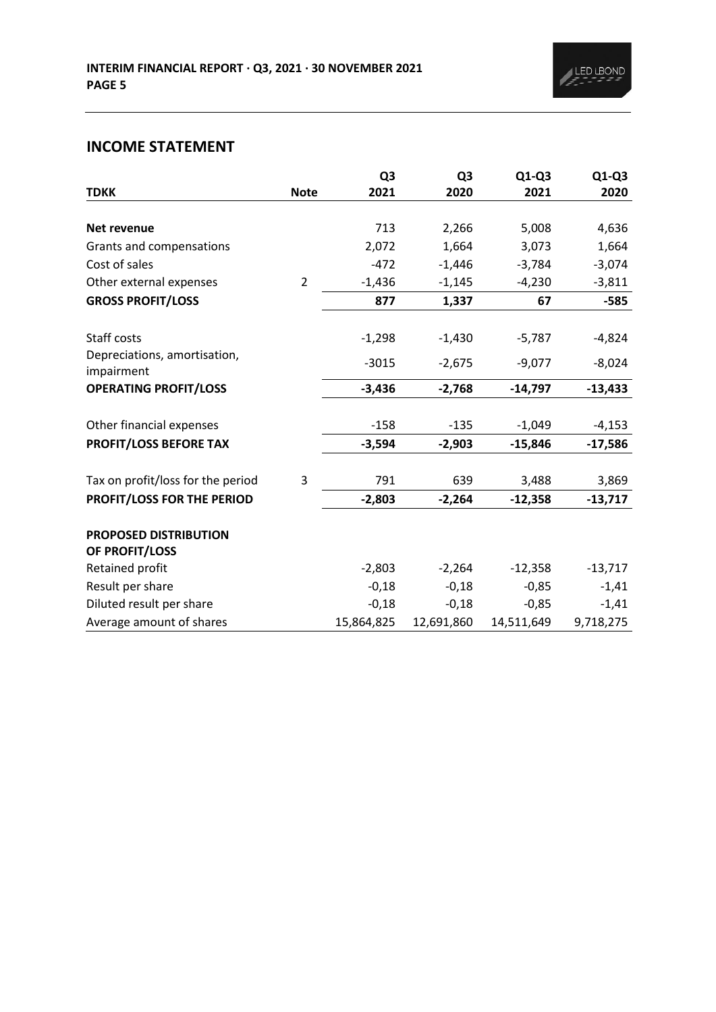# **INCOME STATEMENT**

|                                   |                | Q <sub>3</sub> | Q <sub>3</sub> | $Q1-Q3$    | $Q1-Q3$   |
|-----------------------------------|----------------|----------------|----------------|------------|-----------|
| <b>TDKK</b>                       | <b>Note</b>    | 2021           | 2020           | 2021       | 2020      |
|                                   |                |                |                |            |           |
| Net revenue                       |                | 713            | 2,266          | 5,008      | 4,636     |
| Grants and compensations          |                | 2,072          | 1,664          | 3,073      | 1,664     |
| Cost of sales                     |                | $-472$         | $-1,446$       | $-3,784$   | $-3,074$  |
| Other external expenses           | $\overline{2}$ | $-1,436$       | $-1,145$       | $-4,230$   | $-3,811$  |
| <b>GROSS PROFIT/LOSS</b>          |                | 877            | 1,337          | 67         | $-585$    |
| Staff costs                       |                | $-1,298$       | $-1,430$       | $-5,787$   | $-4,824$  |
| Depreciations, amortisation,      |                |                |                |            |           |
| impairment                        |                | $-3015$        | $-2,675$       | $-9,077$   | $-8,024$  |
| <b>OPERATING PROFIT/LOSS</b>      |                | $-3,436$       | $-2,768$       | $-14,797$  | $-13,433$ |
| Other financial expenses          |                | $-158$         | $-135$         | $-1,049$   | $-4,153$  |
|                                   |                |                |                |            |           |
| PROFIT/LOSS BEFORE TAX            |                | $-3,594$       | $-2,903$       | $-15,846$  | $-17,586$ |
| Tax on profit/loss for the period | 3              | 791            | 639            | 3,488      | 3,869     |
| PROFIT/LOSS FOR THE PERIOD        |                | $-2,803$       | $-2,264$       | $-12,358$  | $-13,717$ |
| PROPOSED DISTRIBUTION             |                |                |                |            |           |
| OF PROFIT/LOSS                    |                |                |                |            |           |
| Retained profit                   |                | $-2,803$       | $-2,264$       | $-12,358$  | $-13,717$ |
| Result per share                  |                | $-0,18$        | $-0,18$        | $-0,85$    | $-1,41$   |
| Diluted result per share          |                | $-0,18$        | $-0,18$        | $-0,85$    | $-1,41$   |
| Average amount of shares          |                | 15,864,825     | 12,691,860     | 14,511,649 | 9,718,275 |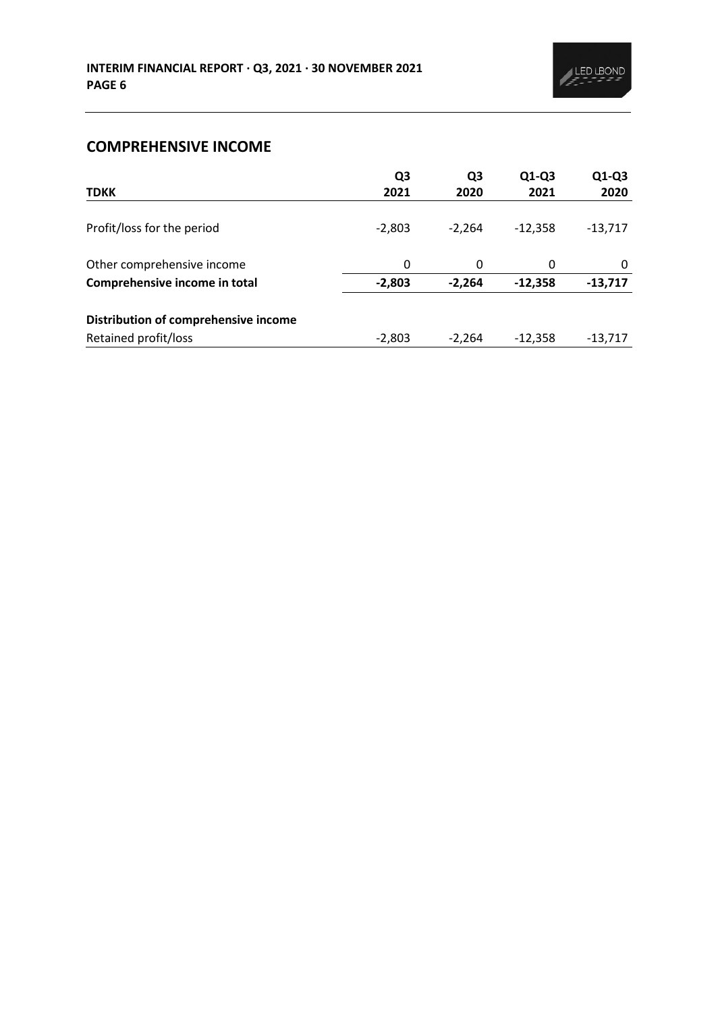# **COMPREHENSIVE INCOME**

| <b>TDKK</b>                          | Q3<br>2021 | Q3<br>2020 | $Q1-Q3$<br>2021 | $Q1-Q3$<br>2020 |
|--------------------------------------|------------|------------|-----------------|-----------------|
| Profit/loss for the period           | $-2,803$   | $-2,264$   | $-12.358$       | $-13,717$       |
| Other comprehensive income           | 0          | 0          | 0               | 0               |
| Comprehensive income in total        | $-2,803$   | $-2,264$   | $-12,358$       | $-13,717$       |
| Distribution of comprehensive income |            |            |                 |                 |
| Retained profit/loss                 | $-2,803$   | $-2.264$   | $-12,358$       | $-13,717$       |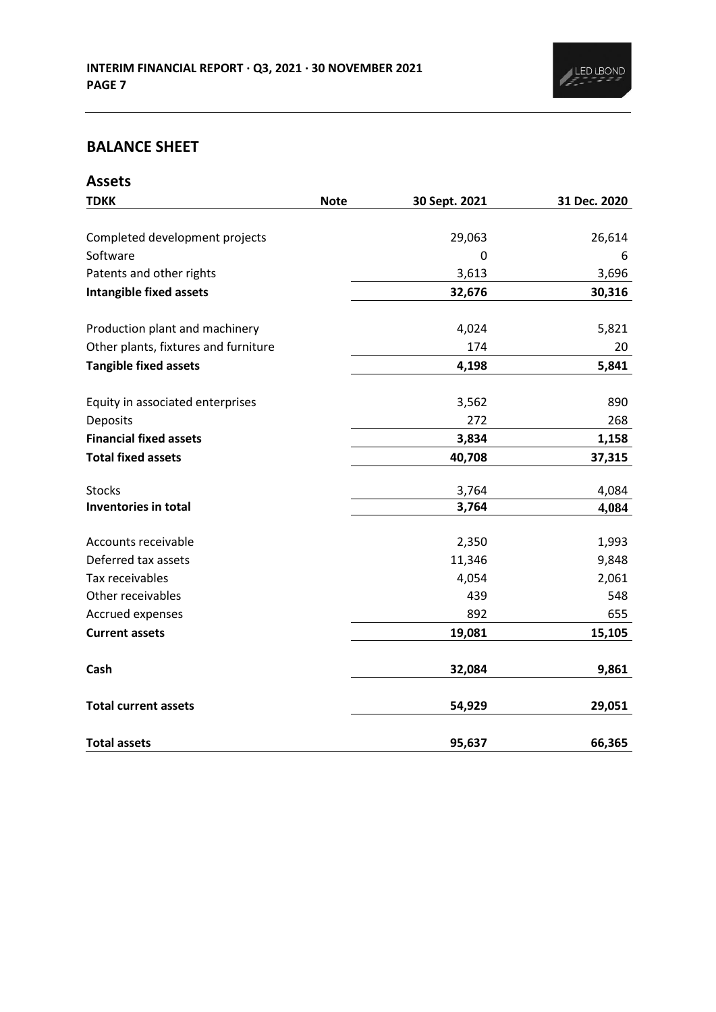

# **BALANCE SHEET**

| <b>Assets</b>                        |             |               |              |
|--------------------------------------|-------------|---------------|--------------|
| <b>TDKK</b>                          | <b>Note</b> | 30 Sept. 2021 | 31 Dec. 2020 |
|                                      |             |               |              |
| Completed development projects       |             | 29,063        | 26,614       |
| Software                             |             | 0             | 6            |
| Patents and other rights             |             | 3,613         | 3,696        |
| <b>Intangible fixed assets</b>       |             | 32,676        | 30,316       |
| Production plant and machinery       |             | 4,024         | 5,821        |
| Other plants, fixtures and furniture |             | 174           | 20           |
| <b>Tangible fixed assets</b>         |             | 4,198         | 5,841        |
| Equity in associated enterprises     |             | 3,562         | 890          |
| Deposits                             |             | 272           | 268          |
| <b>Financial fixed assets</b>        |             | 3,834         | 1,158        |
| <b>Total fixed assets</b>            |             | 40,708        | 37,315       |
| <b>Stocks</b>                        |             | 3,764         | 4,084        |
| Inventories in total                 |             | 3,764         | 4,084        |
| Accounts receivable                  |             | 2,350         | 1,993        |
| Deferred tax assets                  |             | 11,346        | 9,848        |
| Tax receivables                      |             | 4,054         | 2,061        |
| Other receivables                    |             | 439           | 548          |
| Accrued expenses                     |             | 892           | 655          |
| <b>Current assets</b>                |             | 19,081        | 15,105       |
| Cash                                 |             | 32,084        | 9,861        |
| <b>Total current assets</b>          |             | 54,929        | 29,051       |
| <b>Total assets</b>                  |             | 95,637        | 66,365       |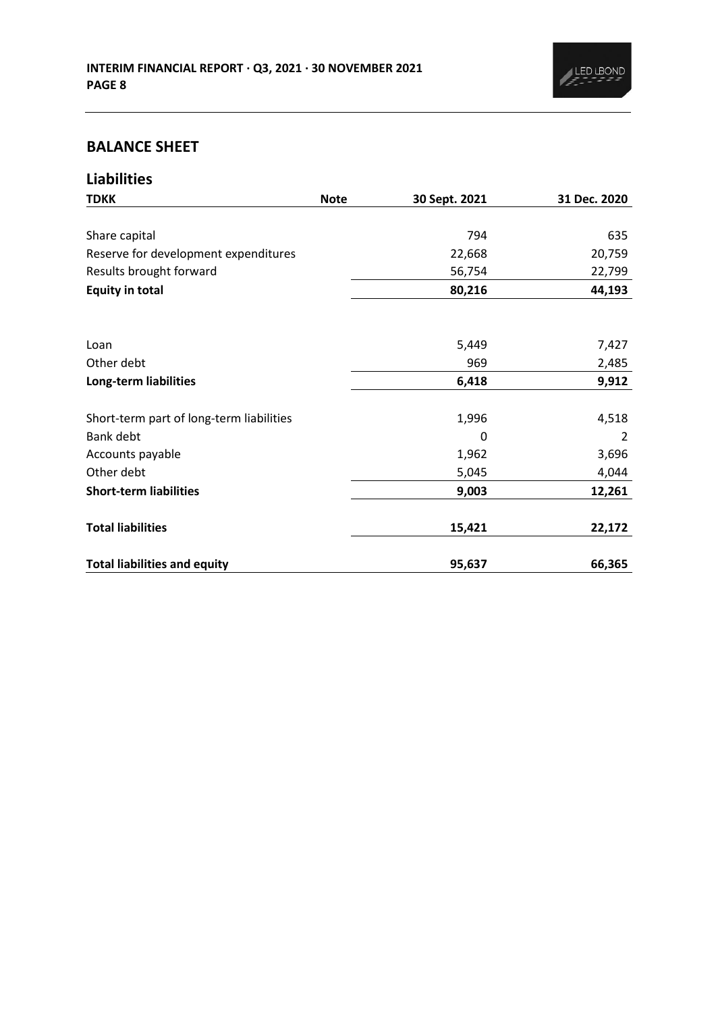# **BALANCE SHEET**

| <b>Liabilities</b>                       |             |               |              |
|------------------------------------------|-------------|---------------|--------------|
| <b>TDKK</b>                              | <b>Note</b> | 30 Sept. 2021 | 31 Dec. 2020 |
|                                          |             |               |              |
| Share capital                            |             | 794           | 635          |
| Reserve for development expenditures     |             | 22,668        | 20,759       |
| Results brought forward                  |             | 56,754        | 22,799       |
| <b>Equity in total</b>                   |             | 80,216        | 44,193       |
|                                          |             |               |              |
| Loan                                     |             | 5,449         | 7,427        |
| Other debt                               |             | 969           | 2,485        |
| Long-term liabilities                    |             | 6,418         | 9,912        |
| Short-term part of long-term liabilities |             | 1,996         | 4,518        |
| Bank debt                                |             | 0             | 2            |
| Accounts payable                         |             | 1,962         | 3,696        |
| Other debt                               |             | 5,045         | 4,044        |
| <b>Short-term liabilities</b>            |             | 9,003         | 12,261       |
| <b>Total liabilities</b>                 |             | 15,421        | 22,172       |
| <b>Total liabilities and equity</b>      |             | 95,637        | 66,365       |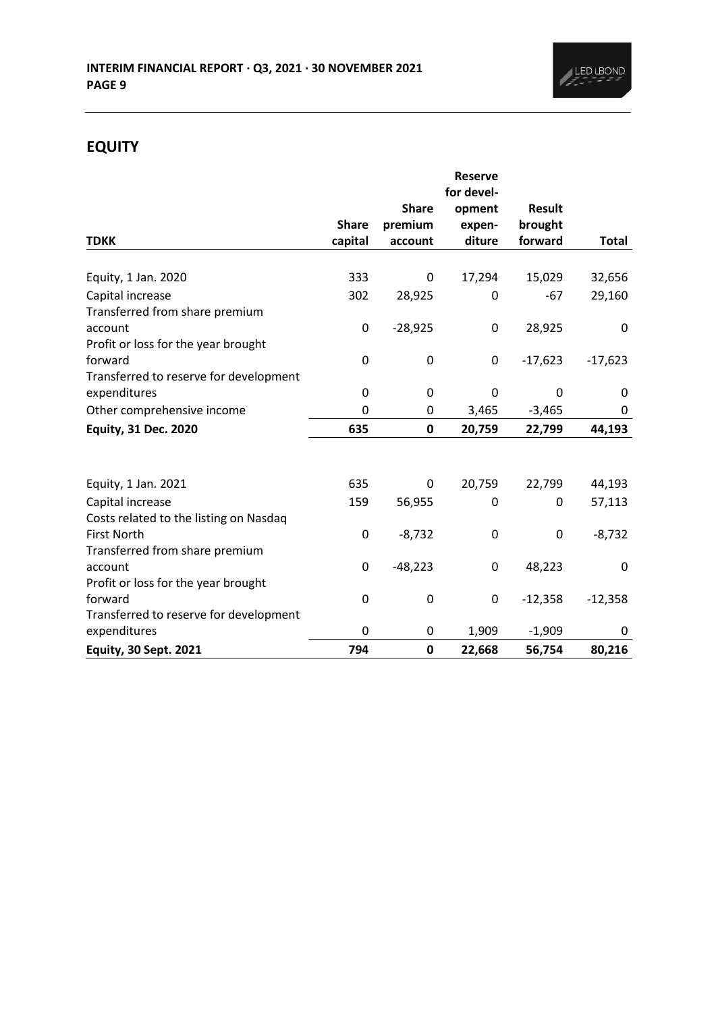

# **EQUITY**

|                                        |              |              | <b>Reserve</b> |               |              |
|----------------------------------------|--------------|--------------|----------------|---------------|--------------|
|                                        |              |              | for devel-     |               |              |
|                                        |              | <b>Share</b> | opment         | <b>Result</b> |              |
|                                        | <b>Share</b> | premium      | expen-         | brought       |              |
| <b>TDKK</b>                            | capital      | account      | diture         | forward       | <b>Total</b> |
| Equity, 1 Jan. 2020                    | 333          | 0            | 17,294         | 15,029        | 32,656       |
| Capital increase                       | 302          | 28,925       | 0              | -67           | 29,160       |
| Transferred from share premium         |              |              |                |               |              |
| account                                | 0            | $-28,925$    | 0              | 28,925        | 0            |
| Profit or loss for the year brought    |              |              |                |               |              |
| forward                                | 0            | 0            | 0              | $-17,623$     | $-17,623$    |
| Transferred to reserve for development |              |              |                |               |              |
| expenditures                           | 0            | 0            | $\mathbf{0}$   | 0             | 0            |
| Other comprehensive income             | 0            | 0            | 3,465          | $-3,465$      | 0            |
| <b>Equity, 31 Dec. 2020</b>            | 635          | 0            | 20,759         | 22,799        | 44,193       |
|                                        |              |              |                |               |              |
| Equity, 1 Jan. 2021                    | 635          | 0            | 20,759         | 22,799        | 44,193       |
| Capital increase                       | 159          | 56,955       | 0              | 0             | 57,113       |
| Costs related to the listing on Nasdaq |              |              |                |               |              |
| <b>First North</b>                     | 0            | $-8,732$     | 0              | 0             | $-8,732$     |
| Transferred from share premium         |              |              |                |               |              |
| account                                | 0            | $-48,223$    | 0              | 48,223        | $\mathbf{0}$ |
| Profit or loss for the year brought    |              |              |                |               |              |
| forward                                | 0            | 0            | 0              | $-12,358$     | $-12,358$    |
| Transferred to reserve for development |              |              |                |               |              |
| expenditures                           | 0            | 0            | 1,909          | $-1,909$      | 0            |
| <b>Equity, 30 Sept. 2021</b>           | 794          | $\mathbf 0$  | 22,668         | 56,754        | 80,216       |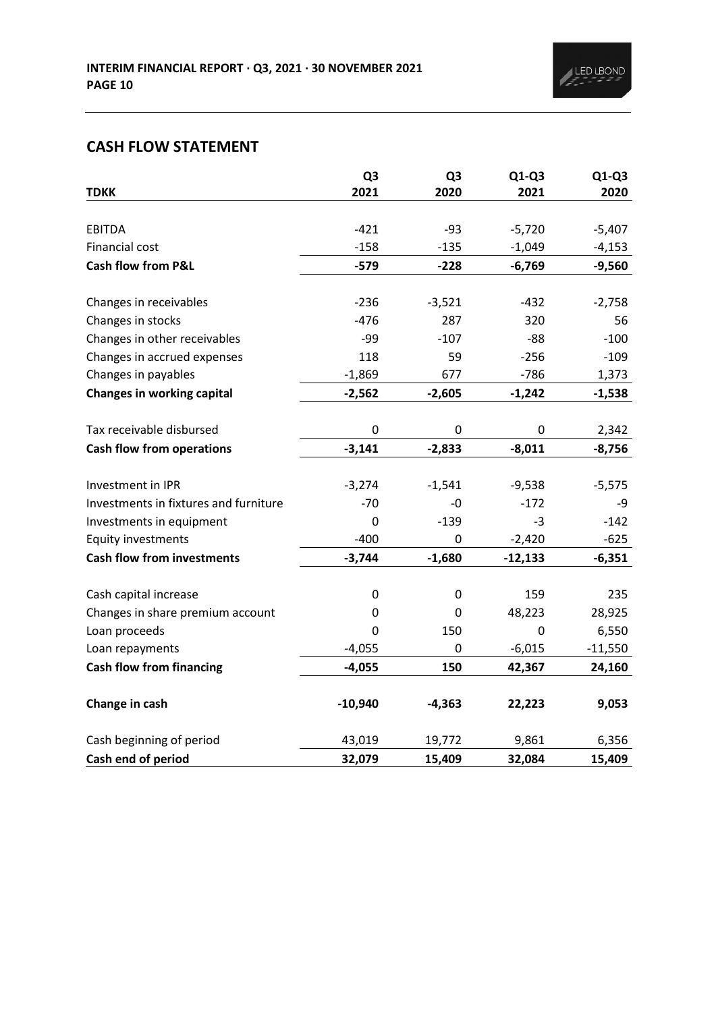# **CASH FLOW STATEMENT**

|                                       | Q <sub>3</sub> | Q <sub>3</sub> | $Q1-Q3$     | $Q1-Q3$   |
|---------------------------------------|----------------|----------------|-------------|-----------|
| <b>TDKK</b>                           | 2021           | 2020           | 2021        | 2020      |
| <b>EBITDA</b>                         | $-421$         | $-93$          | $-5,720$    | $-5,407$  |
| Financial cost                        | $-158$         | $-135$         | $-1,049$    | $-4,153$  |
| <b>Cash flow from P&amp;L</b>         | $-579$         | $-228$         | $-6,769$    | $-9,560$  |
|                                       |                |                |             |           |
| Changes in receivables                | $-236$         | $-3,521$       | $-432$      | $-2,758$  |
| Changes in stocks                     | $-476$         | 287            | 320         | 56        |
| Changes in other receivables          | $-99$          | $-107$         | $-88$       | $-100$    |
| Changes in accrued expenses           | 118            | 59             | $-256$      | $-109$    |
| Changes in payables                   | $-1,869$       | 677            | $-786$      | 1,373     |
| <b>Changes in working capital</b>     | $-2,562$       | $-2,605$       | $-1,242$    | $-1,538$  |
|                                       |                |                |             |           |
| Tax receivable disbursed              | $\mathbf 0$    | 0              | $\mathbf 0$ | 2,342     |
| <b>Cash flow from operations</b>      | $-3,141$       | $-2,833$       | $-8,011$    | $-8,756$  |
|                                       |                |                |             |           |
| Investment in IPR                     | $-3,274$       | $-1,541$       | $-9,538$    | $-5,575$  |
| Investments in fixtures and furniture | $-70$          | $-0$           | $-172$      | -9        |
| Investments in equipment              | $\mathbf 0$    | $-139$         | $-3$        | $-142$    |
| Equity investments                    | $-400$         | 0              | $-2,420$    | $-625$    |
| <b>Cash flow from investments</b>     | $-3,744$       | $-1,680$       | $-12,133$   | $-6,351$  |
| Cash capital increase                 | 0              | 0              | 159         | 235       |
|                                       | 0              | 0              |             |           |
| Changes in share premium account      |                |                | 48,223      | 28,925    |
| Loan proceeds                         | 0              | 150            | $\mathbf 0$ | 6,550     |
| Loan repayments                       | $-4,055$       | 0              | $-6,015$    | $-11,550$ |
| <b>Cash flow from financing</b>       | $-4,055$       | 150            | 42,367      | 24,160    |
| Change in cash                        | $-10,940$      | $-4,363$       | 22,223      | 9,053     |
| Cash beginning of period              | 43,019         | 19,772         | 9,861       | 6,356     |
| Cash end of period                    | 32,079         | 15,409         | 32,084      | 15,409    |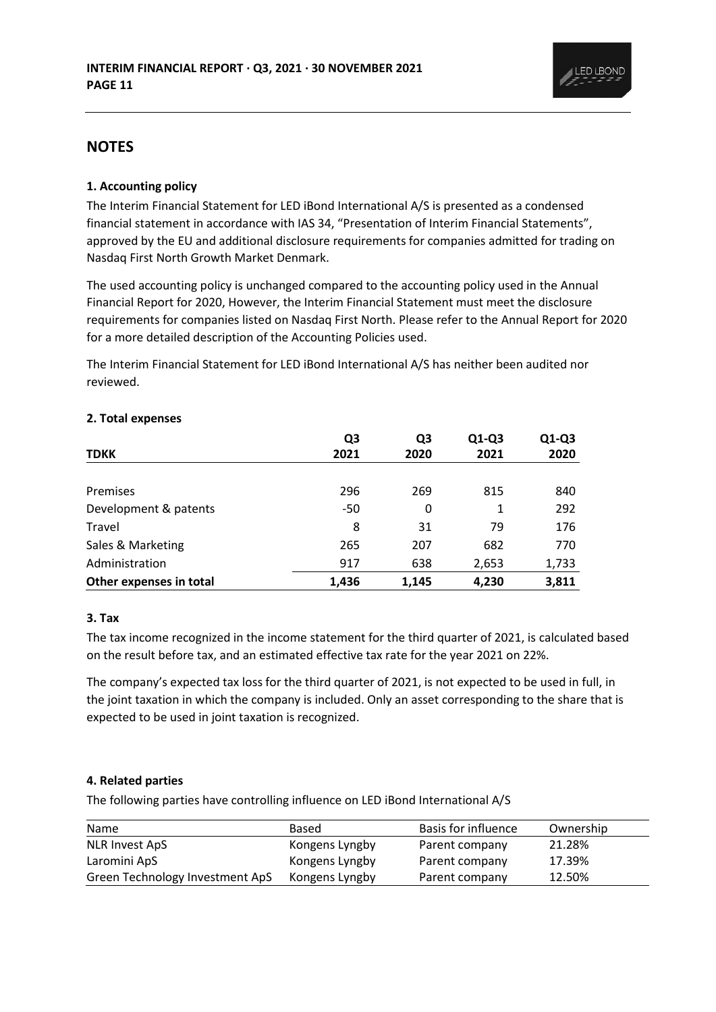

### **NOTES**

### **1. Accounting policy**

The Interim Financial Statement for LED iBond International A/S is presented as a condensed financial statement in accordance with IAS 34, "Presentation of Interim Financial Statements", approved by the EU and additional disclosure requirements for companies admitted for trading on Nasdaq First North Growth Market Denmark.

The used accounting policy is unchanged compared to the accounting policy used in the Annual Financial Report for 2020, However, the Interim Financial Statement must meet the disclosure requirements for companies listed on Nasdaq First North. Please refer to the Annual Report for 2020 for a more detailed description of the Accounting Policies used.

The Interim Financial Statement for LED iBond International A/S has neither been audited nor reviewed.

|                         | Q <sub>3</sub> | Q <sub>3</sub> | $Q1-Q3$ | Q1-Q3 |
|-------------------------|----------------|----------------|---------|-------|
| <b>TDKK</b>             | 2021           | 2020           | 2021    | 2020  |
|                         |                |                |         |       |
| Premises                | 296            | 269            | 815     | 840   |
| Development & patents   | -50            | 0              | 1       | 292   |
| Travel                  | 8              | 31             | 79      | 176   |
| Sales & Marketing       | 265            | 207            | 682     | 770   |
| Administration          | 917            | 638            | 2,653   | 1,733 |
| Other expenses in total | 1,436          | 1.145          | 4,230   | 3,811 |

#### **2. Total expenses**

### **3. Tax**

The tax income recognized in the income statement for the third quarter of 2021, is calculated based on the result before tax, and an estimated effective tax rate for the year 2021 on 22%.

The company's expected tax loss for the third quarter of 2021, is not expected to be used in full, in the joint taxation in which the company is included. Only an asset corresponding to the share that is expected to be used in joint taxation is recognized.

### **4. Related parties**

The following parties have controlling influence on LED iBond International A/S

| Name                            | Based          | Basis for influence | Ownership |
|---------------------------------|----------------|---------------------|-----------|
| <b>NLR Invest ApS</b>           | Kongens Lyngby | Parent company      | 21.28%    |
| Laromini ApS                    | Kongens Lyngby | Parent company      | 17.39%    |
| Green Technology Investment ApS | Kongens Lyngby | Parent company      | 12.50%    |